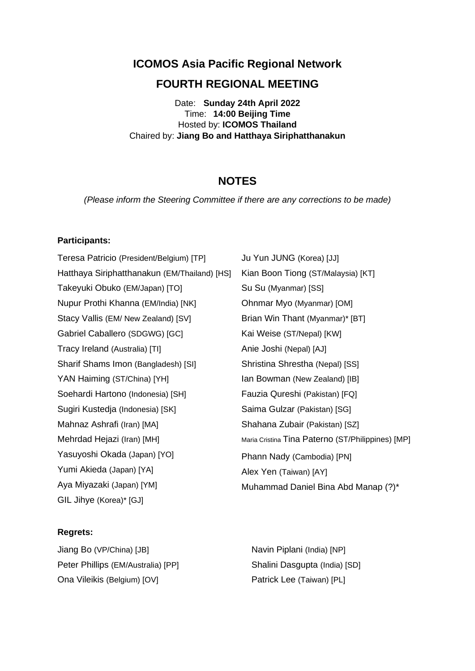**ICOMOS Asia Pacific Regional Network**

# **FOURTH REGIONAL MEETING**

Date: **Sunday 24th April 2022** Time: **14:00 Beijing Time** Hosted by: **ICOMOS Thailand** Chaired by: **Jiang Bo and Hatthaya Siriphatthanakun**

# **NOTES**

*(Please inform the Steering Committee if there are any corrections to be made)*

#### **Participants:**

Teresa Patricio (President/Belgium) [TP] Hatthaya Siriphatthanakun (EM/Thailand) [HS] Takeyuki Obuko (EM/Japan) [TO] Nupur Prothi Khanna (EM/India) [NK] Stacy Vallis (EM/ New Zealand) [SV] Gabriel Caballero (SDGWG) [GC] Tracy Ireland (Australia) [TI] Sharif Shams Imon (Bangladesh) [SI] YAN Haiming (ST/China) [YH] Soehardi Hartono (Indonesia) [SH] Sugiri Kustedja (Indonesia) [SK] Mahnaz Ashrafi (Iran) [MA] Mehrdad Hejazi (Iran) [MH] Yasuyoshi Okada (Japan) [YO] Yumi Akieda (Japan) [YA] Aya Miyazaki (Japan) [YM] GIL Jihye (Korea)\* [GJ]

#### **Regrets:**

Jiang Bo (VP/China) [JB] Peter Phillips (EM/Australia) [PP] Ona Vileikis (Belgium) [OV]

Ju Yun JUNG (Korea) [JJ] Kian Boon Tiong (ST/Malaysia) [KT] Su Su (Myanmar) [SS] Ohnmar Myo (Myanmar) [OM] Brian Win Thant (Myanmar)\* [BT] Kai Weise (ST/Nepal) [KW] Anie Joshi (Nepal) [AJ] Shristina Shrestha (Nepal) [SS] Ian Bowman (New Zealand) [IB] Fauzia Qureshi (Pakistan) [FQ] Saima Gulzar (Pakistan) [SG] Shahana Zubair (Pakistan) [SZ] Maria Cristina Tina Paterno (ST/Philippines) [MP] Phann Nady (Cambodia) [PN] Alex Yen (Taiwan) [AY] Muhammad Daniel Bina Abd Manap (?)\*

Navin Piplani (India) [NP] Shalini Dasgupta (India) [SD] Patrick Lee (Taiwan) [PL]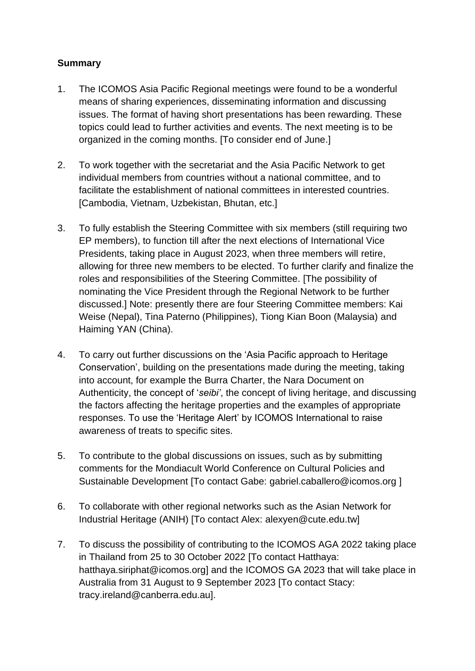# **Summary**

- 1. The ICOMOS Asia Pacific Regional meetings were found to be a wonderful means of sharing experiences, disseminating information and discussing issues. The format of having short presentations has been rewarding. These topics could lead to further activities and events. The next meeting is to be organized in the coming months. [To consider end of June.]
- 2. To work together with the secretariat and the Asia Pacific Network to get individual members from countries without a national committee, and to facilitate the establishment of national committees in interested countries. [Cambodia, Vietnam, Uzbekistan, Bhutan, etc.]
- 3. To fully establish the Steering Committee with six members (still requiring two EP members), to function till after the next elections of International Vice Presidents, taking place in August 2023, when three members will retire, allowing for three new members to be elected. To further clarify and finalize the roles and responsibilities of the Steering Committee. [The possibility of nominating the Vice President through the Regional Network to be further discussed.] Note: presently there are four Steering Committee members: Kai Weise (Nepal), Tina Paterno (Philippines), Tiong Kian Boon (Malaysia) and Haiming YAN (China).
- 4. To carry out further discussions on the 'Asia Pacific approach to Heritage Conservation', building on the presentations made during the meeting, taking into account, for example the Burra Charter, the Nara Document on Authenticity, the concept of '*seibi'*, the concept of living heritage, and discussing the factors affecting the heritage properties and the examples of appropriate responses. To use the 'Heritage Alert' by ICOMOS International to raise awareness of treats to specific sites.
- 5. To contribute to the global discussions on issues, such as by submitting comments for the Mondiacult World Conference on Cultural Policies and Sustainable Development [To contact Gabe: [gabriel.caballero@icomos.org](mailto:gabriel.caballero@icomos.org) ]
- 6. To collaborate with other regional networks such as the Asian Network for Industrial Heritage (ANIH) [To contact Alex: alexyen@cute.edu.tw]
- 7. To discuss the possibility of contributing to the ICOMOS AGA 2022 taking place in Thailand from 25 to 30 October 2022 [To contact Hatthaya: hatthaya.siriphat@icomos.org] and the ICOMOS GA 2023 that will take place in Australia from 31 August to 9 September 2023 [To contact Stacy: tracy.ireland@canberra.edu.au].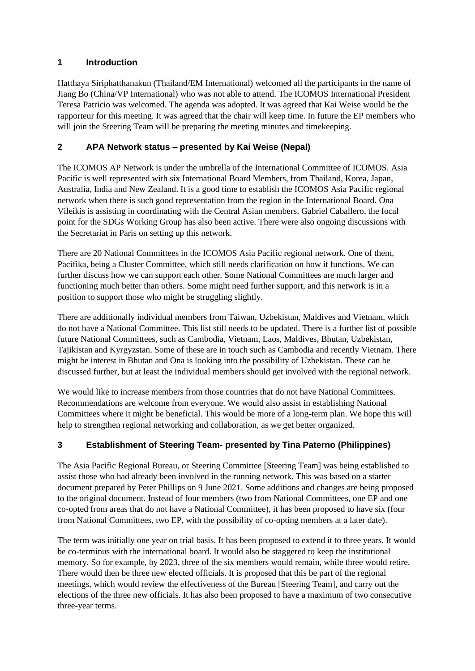# **1 Introduction**

Hatthaya Siriphatthanakun (Thailand/EM International) welcomed all the participants in the name of Jiang Bo (China/VP International) who was not able to attend. The ICOMOS International President Teresa Patricio was welcomed. The agenda was adopted. It was agreed that Kai Weise would be the rapporteur for this meeting. It was agreed that the chair will keep time. In future the EP members who will join the Steering Team will be preparing the meeting minutes and timekeeping.

# **2 APA Network status – presented by Kai Weise (Nepal)**

The ICOMOS AP Network is under the umbrella of the International Committee of ICOMOS. Asia Pacific is well represented with six International Board Members, from Thailand, Korea, Japan, Australia, India and New Zealand. It is a good time to establish the ICOMOS Asia Pacific regional network when there is such good representation from the region in the International Board. Ona Vileikis is assisting in coordinating with the Central Asian members. Gabriel Caballero, the focal point for the SDGs Working Group has also been active. There were also ongoing discussions with the Secretariat in Paris on setting up this network.

There are 20 National Committees in the ICOMOS Asia Pacific regional network. One of them, Pacifika, being a Cluster Committee, which still needs clarification on how it functions. We can further discuss how we can support each other. Some National Committees are much larger and functioning much better than others. Some might need further support, and this network is in a position to support those who might be struggling slightly.

There are additionally individual members from Taiwan, Uzbekistan, Maldives and Vietnam, which do not have a National Committee. This list still needs to be updated. There is a further list of possible future National Committees, such as Cambodia, Vietnam, Laos, Maldives, Bhutan, Uzbekistan, Tajikistan and Kyrgyzstan. Some of these are in touch such as Cambodia and recently Vietnam. There might be interest in Bhutan and Ona is looking into the possibility of Uzbekistan. These can be discussed further, but at least the individual members should get involved with the regional network.

We would like to increase members from those countries that do not have National Committees. Recommendations are welcome from everyone. We would also assist in establishing National Committees where it might be beneficial. This would be more of a long-term plan. We hope this will help to strengthen regional networking and collaboration, as we get better organized.

# **3 Establishment of Steering Team- presented by Tina Paterno (Philippines)**

The Asia Pacific Regional Bureau, or Steering Committee [Steering Team] was being established to assist those who had already been involved in the running network. This was based on a starter document prepared by Peter Phillips on 9 June 2021. Some additions and changes are being proposed to the original document. Instead of four members (two from National Committees, one EP and one co-opted from areas that do not have a National Committee), it has been proposed to have six (four from National Committees, two EP, with the possibility of co-opting members at a later date).

The term was initially one year on trial basis. It has been proposed to extend it to three years. It would be co-terminus with the international board. It would also be staggered to keep the institutional memory. So for example, by 2023, three of the six members would remain, while three would retire. There would then be three new elected officials. It is proposed that this be part of the regional meetings, which would review the effectiveness of the Bureau [Steering Team], and carry out the elections of the three new officials. It has also been proposed to have a maximum of two consecutive three-year terms.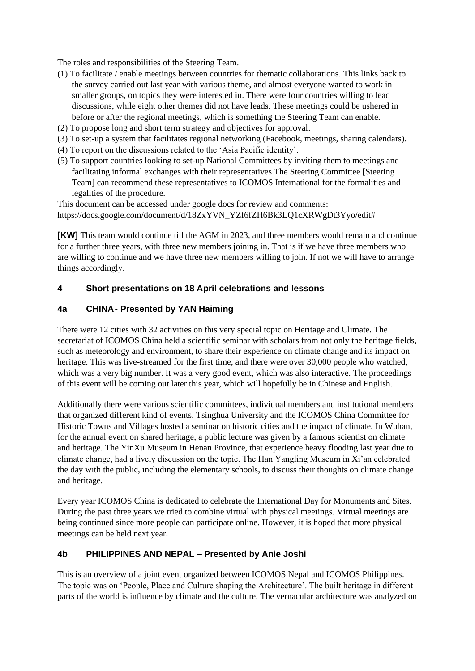The roles and responsibilities of the Steering Team.

- (1) To facilitate / enable meetings between countries for thematic collaborations. This links back to the survey carried out last year with various theme, and almost everyone wanted to work in smaller groups, on topics they were interested in. There were four countries willing to lead discussions, while eight other themes did not have leads. These meetings could be ushered in before or after the regional meetings, which is something the Steering Team can enable.
- (2) To propose long and short term strategy and objectives for approval.
- (3) To set-up a system that facilitates regional networking (Facebook, meetings, sharing calendars).
- (4) To report on the discussions related to the 'Asia Pacific identity'.
- (5) To support countries looking to set-up National Committees by inviting them to meetings and facilitating informal exchanges with their representatives The Steering Committee [Steering Team] can recommend these representatives to ICOMOS International for the formalities and legalities of the procedure.

This document can be accessed under google docs for review and comments: https://docs.google.com/document/d/18ZxYVN\_YZf6fZH6Bk3LQ1cXRWgDt3Yyo/edit#

**[KW]** This team would continue till the AGM in 2023, and three members would remain and continue for a further three years, with three new members joining in. That is if we have three members who are willing to continue and we have three new members willing to join. If not we will have to arrange things accordingly.

#### **4 Short presentations on 18 April celebrations and lessons**

#### **4a CHINA- Presented by YAN Haiming**

There were 12 cities with 32 activities on this very special topic on Heritage and Climate. The secretariat of ICOMOS China held a scientific seminar with scholars from not only the heritage fields, such as meteorology and environment, to share their experience on climate change and its impact on heritage. This was live-streamed for the first time, and there were over 30,000 people who watched, which was a very big number. It was a very good event, which was also interactive. The proceedings of this event will be coming out later this year, which will hopefully be in Chinese and English.

Additionally there were various scientific committees, individual members and institutional members that organized different kind of events. Tsinghua University and the ICOMOS China Committee for Historic Towns and Villages hosted a seminar on historic cities and the impact of climate. In Wuhan, for the annual event on shared heritage, a public lecture was given by a famous scientist on climate and heritage. The YinXu Museum in Henan Province, that experience heavy flooding last year due to climate change, had a lively discussion on the topic. The Han Yangling Museum in Xi'an celebrated the day with the public, including the elementary schools, to discuss their thoughts on climate change and heritage.

Every year ICOMOS China is dedicated to celebrate the International Day for Monuments and Sites. During the past three years we tried to combine virtual with physical meetings. Virtual meetings are being continued since more people can participate online. However, it is hoped that more physical meetings can be held next year.

#### **4b PHILIPPINES AND NEPAL – Presented by Anie Joshi**

This is an overview of a joint event organized between ICOMOS Nepal and ICOMOS Philippines. The topic was on 'People, Place and Culture shaping the Architecture'. The built heritage in different parts of the world is influence by climate and the culture. The vernacular architecture was analyzed on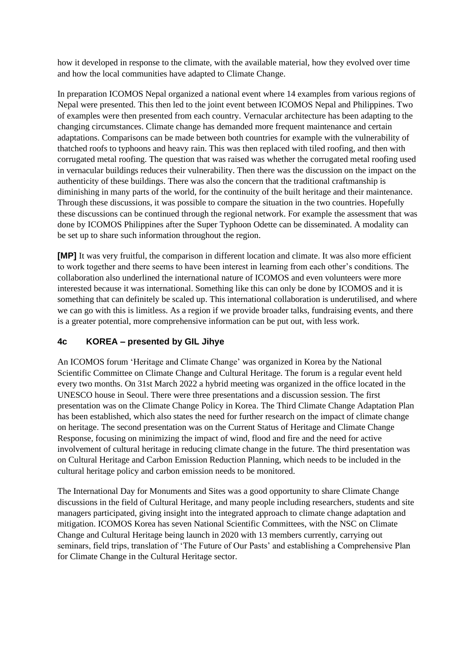how it developed in response to the climate, with the available material, how they evolved over time and how the local communities have adapted to Climate Change.

In preparation ICOMOS Nepal organized a national event where 14 examples from various regions of Nepal were presented. This then led to the joint event between ICOMOS Nepal and Philippines. Two of examples were then presented from each country. Vernacular architecture has been adapting to the changing circumstances. Climate change has demanded more frequent maintenance and certain adaptations. Comparisons can be made between both countries for example with the vulnerability of thatched roofs to typhoons and heavy rain. This was then replaced with tiled roofing, and then with corrugated metal roofing. The question that was raised was whether the corrugated metal roofing used in vernacular buildings reduces their vulnerability. Then there was the discussion on the impact on the authenticity of these buildings. There was also the concern that the traditional craftmanship is diminishing in many parts of the world, for the continuity of the built heritage and their maintenance. Through these discussions, it was possible to compare the situation in the two countries. Hopefully these discussions can be continued through the regional network. For example the assessment that was done by ICOMOS Philippines after the Super Typhoon Odette can be disseminated. A modality can be set up to share such information throughout the region.

**[MP]** It was very fruitful, the comparison in different location and climate. It was also more efficient to work together and there seems to have been interest in learning from each other's conditions. The collaboration also underlined the international nature of ICOMOS and even volunteers were more interested because it was international. Something like this can only be done by ICOMOS and it is something that can definitely be scaled up. This international collaboration is underutilised, and where we can go with this is limitless. As a region if we provide broader talks, fundraising events, and there is a greater potential, more comprehensive information can be put out, with less work.

# **4c KOREA – presented by GIL Jihye**

An ICOMOS forum 'Heritage and Climate Change' was organized in Korea by the National Scientific Committee on Climate Change and Cultural Heritage. The forum is a regular event held every two months. On 31st March 2022 a hybrid meeting was organized in the office located in the UNESCO house in Seoul. There were three presentations and a discussion session. The first presentation was on the Climate Change Policy in Korea. The Third Climate Change Adaptation Plan has been established, which also states the need for further research on the impact of climate change on heritage. The second presentation was on the Current Status of Heritage and Climate Change Response, focusing on minimizing the impact of wind, flood and fire and the need for active involvement of cultural heritage in reducing climate change in the future. The third presentation was on Cultural Heritage and Carbon Emission Reduction Planning, which needs to be included in the cultural heritage policy and carbon emission needs to be monitored.

The International Day for Monuments and Sites was a good opportunity to share Climate Change discussions in the field of Cultural Heritage, and many people including researchers, students and site managers participated, giving insight into the integrated approach to climate change adaptation and mitigation. ICOMOS Korea has seven National Scientific Committees, with the NSC on Climate Change and Cultural Heritage being launch in 2020 with 13 members currently, carrying out seminars, field trips, translation of 'The Future of Our Pasts' and establishing a Comprehensive Plan for Climate Change in the Cultural Heritage sector.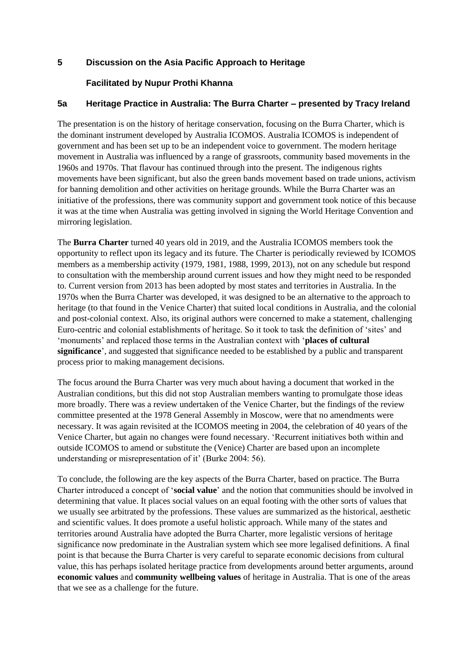#### **5 Discussion on the Asia Pacific Approach to Heritage**

#### **Facilitated by Nupur Prothi Khanna**

### **5a Heritage Practice in Australia: The Burra Charter – presented by Tracy Ireland**

The presentation is on the history of heritage conservation, focusing on the Burra Charter, which is the dominant instrument developed by Australia ICOMOS. Australia ICOMOS is independent of government and has been set up to be an independent voice to government. The modern heritage movement in Australia was influenced by a range of grassroots, community based movements in the 1960s and 1970s. That flavour has continued through into the present. The indigenous rights movements have been significant, but also the green bands movement based on trade unions, activism for banning demolition and other activities on heritage grounds. While the Burra Charter was an initiative of the professions, there was community support and government took notice of this because it was at the time when Australia was getting involved in signing the World Heritage Convention and mirroring legislation.

The **Burra Charter** turned 40 years old in 2019, and the Australia ICOMOS members took the opportunity to reflect upon its legacy and its future. The Charter is periodically reviewed by ICOMOS members as a membership activity (1979, 1981, 1988, 1999, 2013), not on any schedule but respond to consultation with the membership around current issues and how they might need to be responded to. Current version from 2013 has been adopted by most states and territories in Australia. In the 1970s when the Burra Charter was developed, it was designed to be an alternative to the approach to heritage (to that found in the Venice Charter) that suited local conditions in Australia, and the colonial and post-colonial context. Also, its original authors were concerned to make a statement, challenging Euro-centric and colonial establishments of heritage. So it took to task the definition of 'sites' and 'monuments' and replaced those terms in the Australian context with '**places of cultural significance**', and suggested that significance needed to be established by a public and transparent process prior to making management decisions.

The focus around the Burra Charter was very much about having a document that worked in the Australian conditions, but this did not stop Australian members wanting to promulgate those ideas more broadly. There was a review undertaken of the Venice Charter, but the findings of the review committee presented at the 1978 General Assembly in Moscow, were that no amendments were necessary. It was again revisited at the ICOMOS meeting in 2004, the celebration of 40 years of the Venice Charter, but again no changes were found necessary. 'Recurrent initiatives both within and outside ICOMOS to amend or substitute the (Venice) Charter are based upon an incomplete understanding or misrepresentation of it' (Burke 2004: 56).

To conclude, the following are the key aspects of the Burra Charter, based on practice. The Burra Charter introduced a concept of '**social value**' and the notion that communities should be involved in determining that value. It places social values on an equal footing with the other sorts of values that we usually see arbitrated by the professions. These values are summarized as the historical, aesthetic and scientific values. It does promote a useful holistic approach. While many of the states and territories around Australia have adopted the Burra Charter, more legalistic versions of heritage significance now predominate in the Australian system which see more legalised definitions. A final point is that because the Burra Charter is very careful to separate economic decisions from cultural value, this has perhaps isolated heritage practice from developments around better arguments, around **economic values** and **community wellbeing values** of heritage in Australia. That is one of the areas that we see as a challenge for the future.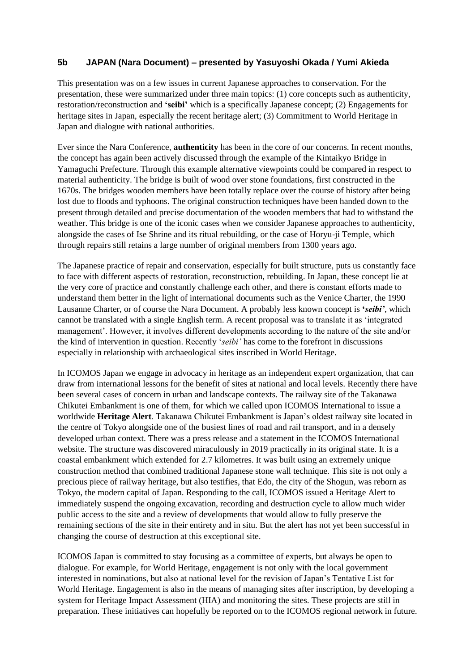#### **5b JAPAN (Nara Document) – presented by Yasuyoshi Okada / Yumi Akieda**

This presentation was on a few issues in current Japanese approaches to conservation. For the presentation, these were summarized under three main topics: (1) core concepts such as authenticity, restoration/reconstruction and **'seibi'** which is a specifically Japanese concept; (2) Engagements for heritage sites in Japan, especially the recent heritage alert; (3) Commitment to World Heritage in Japan and dialogue with national authorities.

Ever since the Nara Conference, **authenticity** has been in the core of our concerns. In recent months, the concept has again been actively discussed through the example of the Kintaikyo Bridge in Yamaguchi Prefecture. Through this example alternative viewpoints could be compared in respect to material authenticity. The bridge is built of wood over stone foundations, first constructed in the 1670s. The bridges wooden members have been totally replace over the course of history after being lost due to floods and typhoons. The original construction techniques have been handed down to the present through detailed and precise documentation of the wooden members that had to withstand the weather. This bridge is one of the iconic cases when we consider Japanese approaches to authenticity, alongside the cases of Ise Shrine and its ritual rebuilding, or the case of Horyu-ji Temple, which through repairs still retains a large number of original members from 1300 years ago.

The Japanese practice of repair and conservation, especially for built structure, puts us constantly face to face with different aspects of restoration, reconstruction, rebuilding. In Japan, these concept lie at the very core of practice and constantly challenge each other, and there is constant efforts made to understand them better in the light of international documents such as the Venice Charter, the 1990 Lausanne Charter, or of course the Nara Document. A probably less known concept is **'***seibi'*, which cannot be translated with a single English term. A recent proposal was to translate it as 'integrated management'. However, it involves different developments according to the nature of the site and/or the kind of intervention in question. Recently '*seibi'* has come to the forefront in discussions especially in relationship with archaeological sites inscribed in World Heritage.

In ICOMOS Japan we engage in advocacy in heritage as an independent expert organization, that can draw from international lessons for the benefit of sites at national and local levels. Recently there have been several cases of concern in urban and landscape contexts. The railway site of the Takanawa Chikutei Embankment is one of them, for which we called upon ICOMOS International to issue a worldwide **Heritage Alert**. Takanawa Chikutei Embankment is Japan's oldest railway site located in the centre of Tokyo alongside one of the busiest lines of road and rail transport, and in a densely developed urban context. There was a press release and a statement in the ICOMOS International website. The structure was discovered miraculously in 2019 practically in its original state. It is a coastal embankment which extended for 2.7 kilometres. It was built using an extremely unique construction method that combined traditional Japanese stone wall technique. This site is not only a precious piece of railway heritage, but also testifies, that Edo, the city of the Shogun, was reborn as Tokyo, the modern capital of Japan. Responding to the call, ICOMOS issued a Heritage Alert to immediately suspend the ongoing excavation, recording and destruction cycle to allow much wider public access to the site and a review of developments that would allow to fully preserve the remaining sections of the site in their entirety and in situ. But the alert has not yet been successful in changing the course of destruction at this exceptional site.

ICOMOS Japan is committed to stay focusing as a committee of experts, but always be open to dialogue. For example, for World Heritage, engagement is not only with the local government interested in nominations, but also at national level for the revision of Japan's Tentative List for World Heritage. Engagement is also in the means of managing sites after inscription, by developing a system for Heritage Impact Assessment (HIA) and monitoring the sites. These projects are still in preparation. These initiatives can hopefully be reported on to the ICOMOS regional network in future.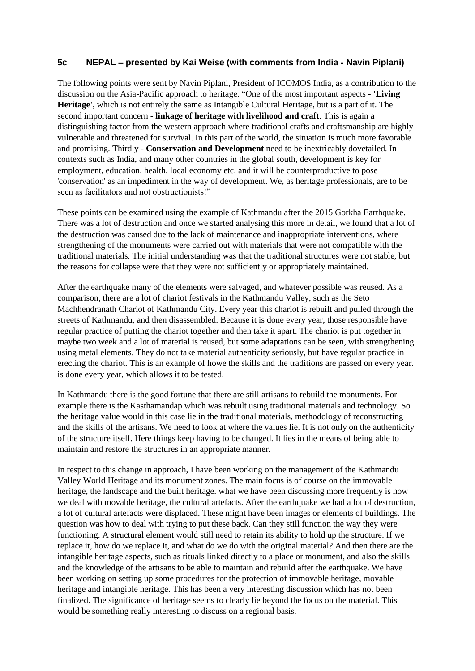#### **5c NEPAL – presented by Kai Weise (with comments from India - Navin Piplani)**

The following points were sent by Navin Piplani, President of ICOMOS India, as a contribution to the discussion on the Asia-Pacific approach to heritage. "One of the most important aspects - **'Living Heritage'**, which is not entirely the same as Intangible Cultural Heritage, but is a part of it. The second important concern - **linkage of heritage with livelihood and craft**. This is again a distinguishing factor from the western approach where traditional crafts and craftsmanship are highly vulnerable and threatened for survival. In this part of the world, the situation is much more favorable and promising. Thirdly - **Conservation and Development** need to be inextricably dovetailed. In contexts such as India, and many other countries in the global south, development is key for employment, education, health, local economy etc. and it will be counterproductive to pose 'conservation' as an impediment in the way of development. We, as heritage professionals, are to be seen as facilitators and not obstructionists!"

These points can be examined using the example of Kathmandu after the 2015 Gorkha Earthquake. There was a lot of destruction and once we started analysing this more in detail, we found that a lot of the destruction was caused due to the lack of maintenance and inappropriate interventions, where strengthening of the monuments were carried out with materials that were not compatible with the traditional materials. The initial understanding was that the traditional structures were not stable, but the reasons for collapse were that they were not sufficiently or appropriately maintained.

After the earthquake many of the elements were salvaged, and whatever possible was reused. As a comparison, there are a lot of chariot festivals in the Kathmandu Valley, such as the Seto Machhendranath Chariot of Kathmandu City. Every year this chariot is rebuilt and pulled through the streets of Kathmandu, and then disassembled. Because it is done every year, those responsible have regular practice of putting the chariot together and then take it apart. The chariot is put together in maybe two week and a lot of material is reused, but some adaptations can be seen, with strengthening using metal elements. They do not take material authenticity seriously, but have regular practice in erecting the chariot. This is an example of howe the skills and the traditions are passed on every year. is done every year, which allows it to be tested.

In Kathmandu there is the good fortune that there are still artisans to rebuild the monuments. For example there is the Kasthamandap which was rebuilt using traditional materials and technology. So the heritage value would in this case lie in the traditional materials, methodology of reconstructing and the skills of the artisans. We need to look at where the values lie. It is not only on the authenticity of the structure itself. Here things keep having to be changed. It lies in the means of being able to maintain and restore the structures in an appropriate manner.

In respect to this change in approach, I have been working on the management of the Kathmandu Valley World Heritage and its monument zones. The main focus is of course on the immovable heritage, the landscape and the built heritage. what we have been discussing more frequently is how we deal with movable heritage, the cultural artefacts. After the earthquake we had a lot of destruction, a lot of cultural artefacts were displaced. These might have been images or elements of buildings. The question was how to deal with trying to put these back. Can they still function the way they were functioning. A structural element would still need to retain its ability to hold up the structure. If we replace it, how do we replace it, and what do we do with the original material? And then there are the intangible heritage aspects, such as rituals linked directly to a place or monument, and also the skills and the knowledge of the artisans to be able to maintain and rebuild after the earthquake. We have been working on setting up some procedures for the protection of immovable heritage, movable heritage and intangible heritage. This has been a very interesting discussion which has not been finalized. The significance of heritage seems to clearly lie beyond the focus on the material. This would be something really interesting to discuss on a regional basis.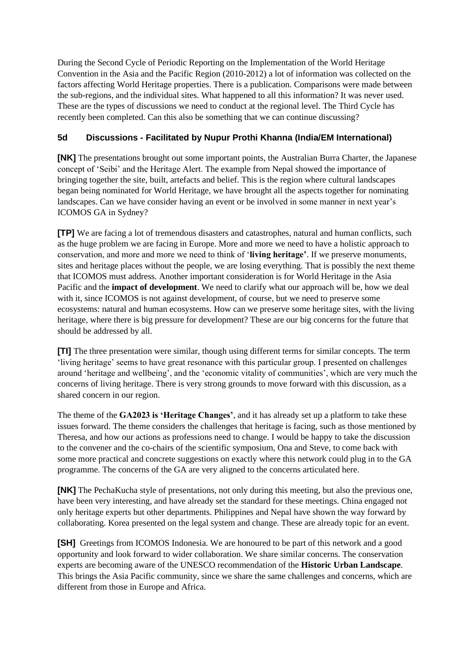During the Second Cycle of Periodic Reporting on the Implementation of the World Heritage Convention in the Asia and the Pacific Region (2010-2012) a lot of information was collected on the factors affecting World Heritage properties. There is a publication. Comparisons were made between the sub-regions, and the individual sites. What happened to all this information? It was never used. These are the types of discussions we need to conduct at the regional level. The Third Cycle has recently been completed. Can this also be something that we can continue discussing?

# **5d Discussions - Facilitated by Nupur Prothi Khanna (India/EM International)**

**[NK]** The presentations brought out some important points, the Australian Burra Charter, the Japanese concept of 'Seibi' and the Heritage Alert. The example from Nepal showed the importance of bringing together the site, built, artefacts and belief. This is the region where cultural landscapes began being nominated for World Heritage, we have brought all the aspects together for nominating landscapes. Can we have consider having an event or be involved in some manner in next year's ICOMOS GA in Sydney?

**[TP]** We are facing a lot of tremendous disasters and catastrophes, natural and human conflicts, such as the huge problem we are facing in Europe. More and more we need to have a holistic approach to conservation, and more and more we need to think of '**living heritage'**. If we preserve monuments, sites and heritage places without the people, we are losing everything. That is possibly the next theme that ICOMOS must address. Another important consideration is for World Heritage in the Asia Pacific and the **impact of development**. We need to clarify what our approach will be, how we deal with it, since ICOMOS is not against development, of course, but we need to preserve some ecosystems: natural and human ecosystems. How can we preserve some heritage sites, with the living heritage, where there is big pressure for development? These are our big concerns for the future that should be addressed by all.

**[TI]** The three presentation were similar, though using different terms for similar concepts. The term 'living heritage' seems to have great resonance with this particular group. I presented on challenges around 'heritage and wellbeing', and the 'economic vitality of communities', which are very much the concerns of living heritage. There is very strong grounds to move forward with this discussion, as a shared concern in our region.

The theme of the **GA2023 is 'Heritage Changes'**, and it has already set up a platform to take these issues forward. The theme considers the challenges that heritage is facing, such as those mentioned by Theresa, and how our actions as professions need to change. I would be happy to take the discussion to the convener and the co-chairs of the scientific symposium, Ona and Steve, to come back with some more practical and concrete suggestions on exactly where this network could plug in to the GA programme. The concerns of the GA are very aligned to the concerns articulated here.

**[NK]** The PechaKucha style of presentations, not only during this meeting, but also the previous one, have been very interesting, and have already set the standard for these meetings. China engaged not only heritage experts but other departments. Philippines and Nepal have shown the way forward by collaborating. Korea presented on the legal system and change. These are already topic for an event.

**[SH]** Greetings from ICOMOS Indonesia. We are honoured to be part of this network and a good opportunity and look forward to wider collaboration. We share similar concerns. The conservation experts are becoming aware of the UNESCO recommendation of the **Historic Urban Landscape**. This brings the Asia Pacific community, since we share the same challenges and concerns, which are different from those in Europe and Africa.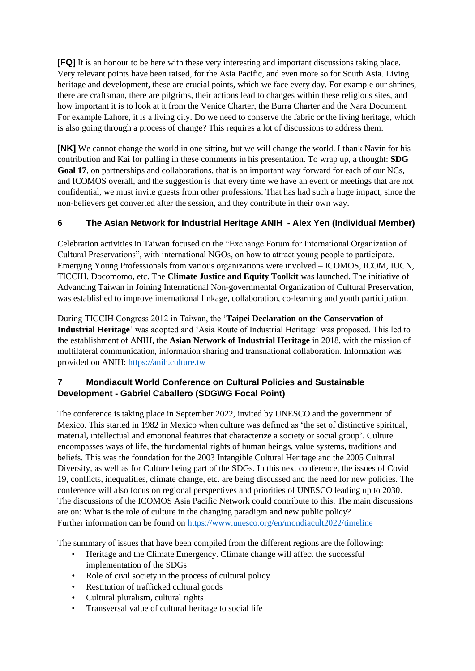**[FQ]** It is an honour to be here with these very interesting and important discussions taking place. Very relevant points have been raised, for the Asia Pacific, and even more so for South Asia. Living heritage and development, these are crucial points, which we face every day. For example our shrines, there are craftsman, there are pilgrims, their actions lead to changes within these religious sites, and how important it is to look at it from the Venice Charter, the Burra Charter and the Nara Document. For example Lahore, it is a living city. Do we need to conserve the fabric or the living heritage, which is also going through a process of change? This requires a lot of discussions to address them.

**[NK]** We cannot change the world in one sitting, but we will change the world. I thank Navin for his contribution and Kai for pulling in these comments in his presentation. To wrap up, a thought: **SDG**  Goal 17, on partnerships and collaborations, that is an important way forward for each of our NCs, and ICOMOS overall, and the suggestion is that every time we have an event or meetings that are not confidential, we must invite guests from other professions. That has had such a huge impact, since the non-believers get converted after the session, and they contribute in their own way.

# **6 The Asian Network for Industrial Heritage ANIH - Alex Yen (Individual Member)**

Celebration activities in Taiwan focused on the "Exchange Forum for International Organization of Cultural Preservations", with international NGOs, on how to attract young people to participate. Emerging Young Professionals from various organizations were involved – ICOMOS, ICOM, IUCN, TICCIH, Docomomo, etc. The **Climate Justice and Equity Toolkit** was launched. The initiative of Advancing Taiwan in Joining International Non-governmental Organization of Cultural Preservation, was established to improve international linkage, collaboration, co-learning and youth participation.

During TICCIH Congress 2012 in Taiwan, the '**Taipei Declaration on the Conservation of Industrial Heritage**' was adopted and 'Asia Route of Industrial Heritage' was proposed. This led to the establishment of ANIH, the **Asian Network of Industrial Heritage** in 2018, with the mission of multilateral communication, information sharing and transnational collaboration. Information was provided on ANIH: [https://anih.culture.tw](https://anih.culture.tw/)

# **7 Mondiacult World Conference on Cultural Policies and Sustainable Development - Gabriel Caballero (SDGWG Focal Point)**

The conference is taking place in September 2022, invited by UNESCO and the government of Mexico. This started in 1982 in Mexico when culture was defined as 'the set of distinctive spiritual, material, intellectual and emotional features that characterize a society or social group'. Culture encompasses ways of life, the fundamental rights of human beings, value systems, traditions and beliefs. This was the foundation for the 2003 Intangible Cultural Heritage and the 2005 Cultural Diversity, as well as for Culture being part of the SDGs. In this next conference, the issues of Covid 19, conflicts, inequalities, climate change, etc. are being discussed and the need for new policies. The conference will also focus on regional perspectives and priorities of UNESCO leading up to 2030. The discussions of the ICOMOS Asia Pacific Network could contribute to this. The main discussions are on: What is the role of culture in the changing paradigm and new public policy? Further information can be found on<https://www.unesco.org/en/mondiacult2022/timeline>

The summary of issues that have been compiled from the different regions are the following:

- Heritage and the Climate Emergency. Climate change will affect the successful implementation of the SDGs
- Role of civil society in the process of cultural policy
- Restitution of trafficked cultural goods
- Cultural pluralism, cultural rights
- Transversal value of cultural heritage to social life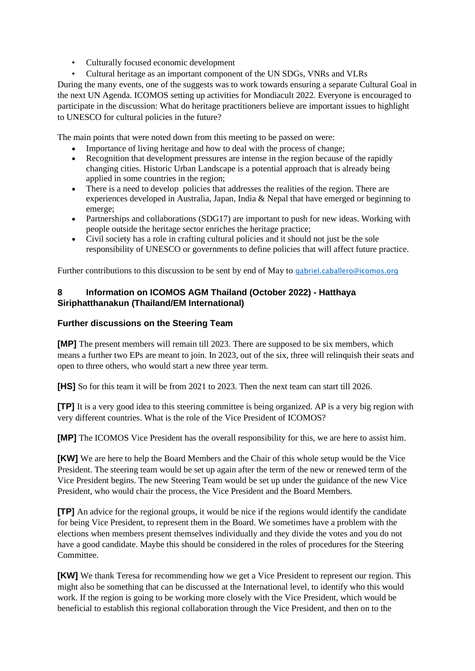- Culturally focused economic development
- Cultural heritage as an important component of the UN SDGs, VNRs and VLRs

During the many events, one of the suggests was to work towards ensuring a separate Cultural Goal in the next UN Agenda. ICOMOS setting up activities for Mondiacult 2022. Everyone is encouraged to participate in the discussion: What do heritage practitioners believe are important issues to highlight to UNESCO for cultural policies in the future?

The main points that were noted down from this meeting to be passed on were:

- Importance of living heritage and how to deal with the process of change;
- Recognition that development pressures are intense in the region because of the rapidly changing cities. Historic Urban Landscape is a potential approach that is already being applied in some countries in the region;
- There is a need to develop policies that addresses the realities of the region. There are experiences developed in Australia, Japan, India & Nepal that have emerged or beginning to emerge;
- Partnerships and collaborations (SDG17) are important to push for new ideas. Working with people outside the heritage sector enriches the heritage practice;
- Civil society has a role in crafting cultural policies and it should not just be the sole responsibility of UNESCO or governments to define policies that will affect future practice.

Further contributions to this discussion to be sent by end of May to [gabriel.caballero@icomos.org](mailto:gabriel.caballero@icomos.org)

### **8 Information on ICOMOS AGM Thailand (October 2022) - Hatthaya Siriphatthanakun (Thailand/EM International)**

### **Further discussions on the Steering Team**

**[MP]** The present members will remain till 2023. There are supposed to be six members, which means a further two EPs are meant to join. In 2023, out of the six, three will relinquish their seats and open to three others, who would start a new three year term.

**[HS]** So for this team it will be from 2021 to 2023. Then the next team can start till 2026.

**[TP]** It is a very good idea to this steering committee is being organized. AP is a very big region with very different countries. What is the role of the Vice President of ICOMOS?

**[MP]** The ICOMOS Vice President has the overall responsibility for this, we are here to assist him.

*KWI* We are here to help the Board Members and the Chair of this whole setup would be the Vice President. The steering team would be set up again after the term of the new or renewed term of the Vice President begins. The new Steering Team would be set up under the guidance of the new Vice President, who would chair the process, the Vice President and the Board Members.

**[TP]** An advice for the regional groups, it would be nice if the regions would identify the candidate for being Vice President, to represent them in the Board. We sometimes have a problem with the elections when members present themselves individually and they divide the votes and you do not have a good candidate. Maybe this should be considered in the roles of procedures for the Steering Committee.

**[KW]** We thank Teresa for recommending how we get a Vice President to represent our region. This might also be something that can be discussed at the International level, to identify who this would work. If the region is going to be working more closely with the Vice President, which would be beneficial to establish this regional collaboration through the Vice President, and then on to the